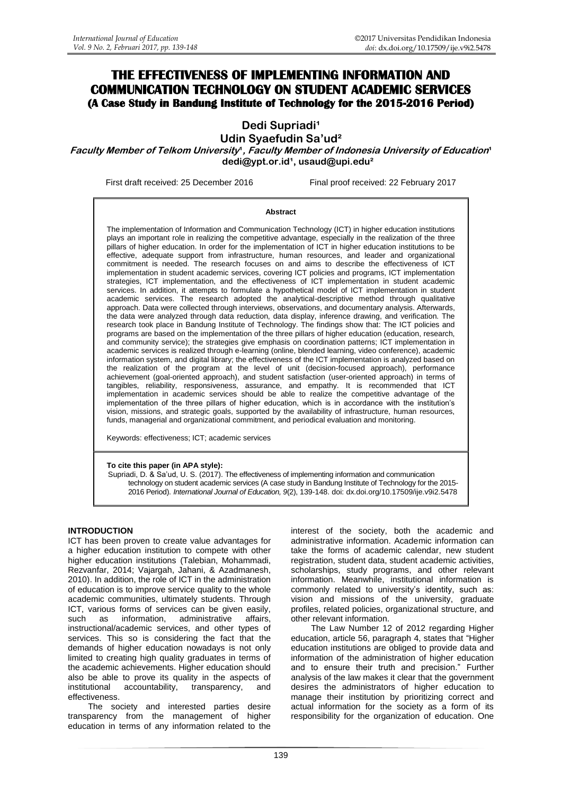# **THE EFFECTIVENESS OF IMPLEMENTING INFORMATION AND COMMUNICATION TECHNOLOGY ON STUDENT ACADEMIC SERVICES (A Case Study in Bandung Institute of Technology for the 2015-2016 Period)**

**Dedi Supriadi<sup>1</sup>** 

**Udin Syaefudin Sa'ud²**

**Faculty Member of Telkom University<sup>1</sup>**, **Faculty Member of Indonesia University of Education<sup>4</sup> [dedi@ypt.or.id¹](mailto:dedi@ypt.or.id), [usaud@upi.edu²](mailto:usaud@upi.edu)**

First draft received: 25 December 2016 Final proof received: 22 February 2017

#### **Abstract**

The implementation of Information and Communication Technology (ICT) in higher education institutions plays an important role in realizing the competitive advantage, especially in the realization of the three pillars of higher education. In order for the implementation of ICT in higher education institutions to be effective, adequate support from infrastructure, human resources, and leader and organizational commitment is needed. The research focuses on and aims to describe the effectiveness of ICT implementation in student academic services, covering ICT policies and programs, ICT implementation strategies, ICT implementation, and the effectiveness of ICT implementation in student academic services. In addition, it attempts to formulate a hypothetical model of ICT implementation in student academic services. The research adopted the analytical-descriptive method through qualitative approach. Data were collected through interviews, observations, and documentary analysis. Afterwards, the data were analyzed through data reduction, data display, inference drawing, and verification. The research took place in Bandung Institute of Technology. The findings show that: The ICT policies and programs are based on the implementation of the three pillars of higher education (education, research, and community service); the strategies give emphasis on coordination patterns; ICT implementation in academic services is realized through e-learning (online, blended learning, video conference), academic information system, and digital library; the effectiveness of the ICT implementation is analyzed based on the realization of the program at the level of unit (decision-focused approach), performance achievement (goal-oriented approach), and student satisfaction (user-oriented approach) in terms of tangibles, reliability, responsiveness, assurance, and empathy. It is recommended that ICT implementation in academic services should be able to realize the competitive advantage of the implementation of the three pillars of higher education, which is in accordance with the institution's vision, missions, and strategic goals, supported by the availability of infrastructure, human resources, funds, managerial and organizational commitment, and periodical evaluation and monitoring.

Keywords: effectiveness; ICT; academic services

#### **To cite this paper (in APA style):**

Supriadi, D. & Sa'ud, U. S. (2017). The effectiveness of implementing information and communication technology on student academic services (A case study in Bandung Institute of Technology for the 2015- 2016 Period). *International Journal of Education, 9*(2), 139-148. doi: [dx.doi.org/10.17509/ije.v9i2.5478](http://dx.doi.org/10.17509/ije.v9i2.5478)

#### **INTRODUCTION**

ICT has been proven to create value advantages for a higher education institution to compete with other higher education institutions (Talebian, Mohammadi, Rezvanfar, 2014; Vajargah, Jahani, & Azadmanesh, 2010). In addition, the role of ICT in the administration of education is to improve service quality to the whole academic communities, ultimately students. Through ICT, various forms of services can be given easily, such as information, administrative affairs, instructional/academic services, and other types of services. This so is considering the fact that the demands of higher education nowadays is not only limited to creating high quality graduates in terms of the academic achievements. Higher education should also be able to prove its quality in the aspects of institutional accountability, transparency, and effectiveness.

The society and interested parties desire transparency from the management of higher education in terms of any information related to the interest of the society, both the academic and administrative information. Academic information can take the forms of academic calendar, new student registration, student data, student academic activities, scholarships, study programs, and other relevant information. Meanwhile, institutional information is commonly related to university's identity, such as: vision and missions of the university, graduate profiles, related policies, organizational structure, and other relevant information.

The Law Number 12 of 2012 regarding Higher education, article 56, paragraph 4, states that "Higher education institutions are obliged to provide data and information of the administration of higher education and to ensure their truth and precision." Further analysis of the law makes it clear that the government desires the administrators of higher education to manage their institution by prioritizing correct and actual information for the society as a form of its responsibility for the organization of education. One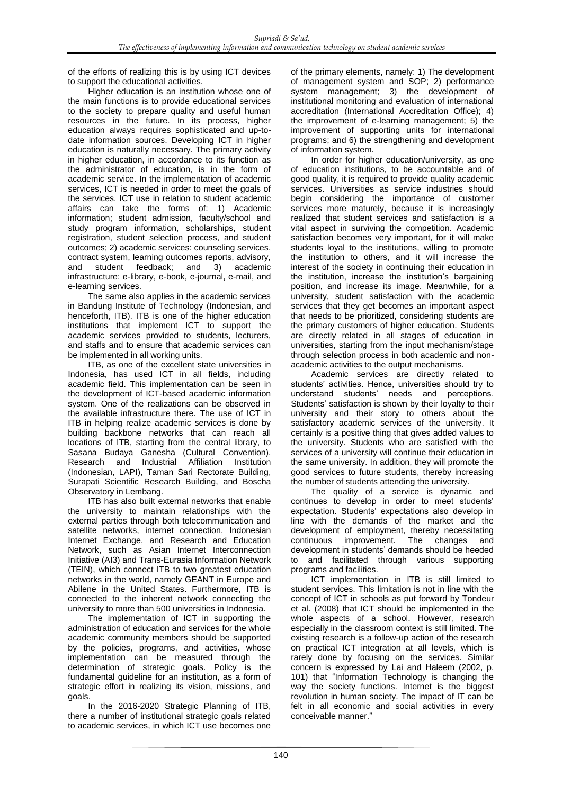of the efforts of realizing this is by using ICT devices to support the educational activities.

Higher education is an institution whose one of the main functions is to provide educational services to the society to prepare quality and useful human resources in the future. In its process, higher education always requires sophisticated and up-todate information sources. Developing ICT in higher education is naturally necessary. The primary activity in higher education, in accordance to its function as the administrator of education, is in the form of academic service. In the implementation of academic services, ICT is needed in order to meet the goals of the services. ICT use in relation to student academic affairs can take the forms of: 1) Academic information; student admission, faculty/school and study program information, scholarships, student registration, student selection process, and student outcomes; 2) academic services: counseling services, contract system, learning outcomes reports, advisory,<br>and student feedback; and 3) academic and student feedback; and 3) academic infrastructure: e-library, e-book, e-journal, e-mail, and e-learning services.

The same also applies in the academic services in Bandung Institute of Technology (Indonesian, and henceforth, ITB). ITB is one of the higher education institutions that implement ICT to support the academic services provided to students, lecturers, and staffs and to ensure that academic services can be implemented in all working units.

ITB, as one of the excellent state universities in Indonesia, has used ICT in all fields, including academic field. This implementation can be seen in the development of ICT-based academic information system. One of the realizations can be observed in the available infrastructure there. The use of ICT in ITB in helping realize academic services is done by building backbone networks that can reach all locations of ITB, starting from the central library, to Sasana Budaya Ganesha (Cultural Convention), Research and Industrial Affiliation Institution (Indonesian, LAPI), Taman Sari Rectorate Building, Surapati Scientific Research Building, and Boscha Observatory in Lembang.

ITB has also built external networks that enable the university to maintain relationships with the external parties through both telecommunication and satellite networks, internet connection, Indonesian Internet Exchange, and Research and Education Network, such as Asian Internet Interconnection Initiative (AI3) and Trans-Eurasia Information Network (TEIN), which connect ITB to two greatest education networks in the world, namely GEANT in Europe and Abilene in the United States. Furthermore, ITB is connected to the inherent network connecting the university to more than 500 universities in Indonesia.

The implementation of ICT in supporting the administration of education and services for the whole academic community members should be supported by the policies, programs, and activities, whose implementation can be measured through the determination of strategic goals. Policy is the fundamental guideline for an institution, as a form of strategic effort in realizing its vision, missions, and goals.

In the 2016-2020 Strategic Planning of ITB, there a number of institutional strategic goals related to academic services, in which ICT use becomes one of the primary elements, namely: 1) The development of management system and SOP; 2) performance system management; 3) the development of institutional monitoring and evaluation of international accreditation (International Accreditation Office); 4) the improvement of e-learning management; 5) the improvement of supporting units for international programs; and 6) the strengthening and development of information system.

In order for higher education/university, as one of education institutions, to be accountable and of good quality, it is required to provide quality academic services. Universities as service industries should begin considering the importance of customer services more maturely, because it is increasingly realized that student services and satisfaction is a vital aspect in surviving the competition. Academic satisfaction becomes very important, for it will make students loyal to the institutions, willing to promote the institution to others, and it will increase the interest of the society in continuing their education in the institution, increase the institution's bargaining position, and increase its image. Meanwhile, for a university, student satisfaction with the academic services that they get becomes an important aspect that needs to be prioritized, considering students are the primary customers of higher education. Students are directly related in all stages of education in universities, starting from the input mechanism/stage through selection process in both academic and nonacademic activities to the output mechanisms*.* 

Academic services are directly related to students' activities. Hence, universities should try to understand students' needs and perceptions. Students' satisfaction is shown by their loyalty to their university and their story to others about the satisfactory academic services of the university. It certainly is a positive thing that gives added values to the university. Students who are satisfied with the services of a university will continue their education in the same university. In addition, they will promote the good services to future students, thereby increasing the number of students attending the university.

The quality of a service is dynamic and continues to develop in order to meet students' expectation. Students' expectations also develop in line with the demands of the market and the development of employment, thereby necessitating continuous improvement. The changes and development in students' demands should be heeded to and facilitated through various supporting programs and facilities.

ICT implementation in ITB is still limited to student services. This limitation is not in line with the concept of ICT in schools as put forward by Tondeur et al. (2008) that ICT should be implemented in the whole aspects of a school. However, research especially in the classroom context is still limited. The existing research is a follow-up action of the research on practical ICT integration at all levels, which is rarely done by focusing on the services. Similar concern is expressed by Lai and Haleem (2002, p. 101) that "Information Technology is changing the way the society functions. Internet is the biggest revolution in human society. The impact of IT can be felt in all economic and social activities in every conceivable manner."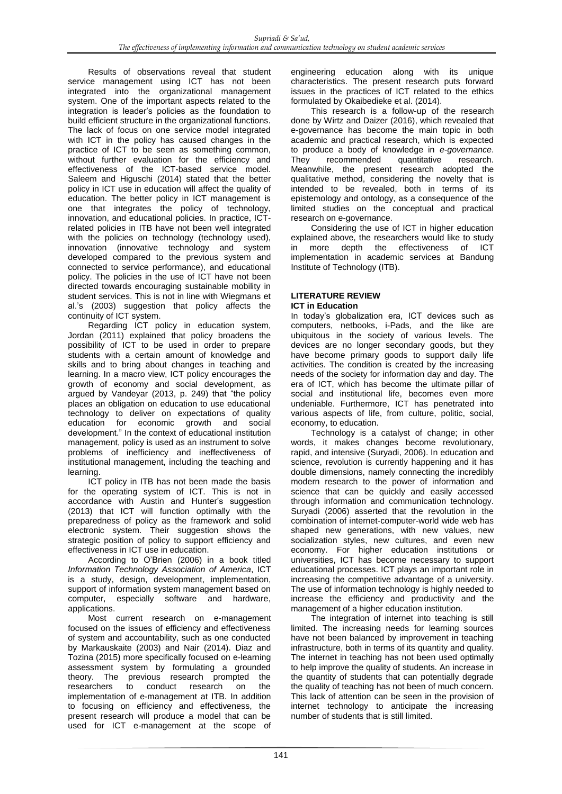Results of observations reveal that student service management using ICT has not been integrated into the organizational management system. One of the important aspects related to the integration is leader's policies as the foundation to build efficient structure in the organizational functions. The lack of focus on one service model integrated with ICT in the policy has caused changes in the practice of ICT to be seen as something common, without further evaluation for the efficiency and effectiveness of the ICT-based service model. Saleem and Higuschi (2014) stated that the better policy in ICT use in education will affect the quality of education. The better policy in ICT management is one that integrates the policy of technology, innovation, and educational policies. In practice, ICTrelated policies in ITB have not been well integrated with the policies on technology (technology used), innovation (innovative technology and system developed compared to the previous system and connected to service performance), and educational policy. The policies in the use of ICT have not been directed towards encouraging sustainable mobility in student services. This is not in line with Wiegmans et al.'s (2003) suggestion that policy affects the continuity of ICT system.

Regarding ICT policy in education system, Jordan (2011) explained that policy broadens the possibility of ICT to be used in order to prepare students with a certain amount of knowledge and skills and to bring about changes in teaching and learning. In a macro view, ICT policy encourages the growth of economy and social development, as argued by Vandeyar (2013, p. 249) that "the policy places an obligation on education to use educational technology to deliver on expectations of quality education for economic growth and social development." In the context of educational institution management, policy is used as an instrument to solve problems of inefficiency and ineffectiveness of institutional management, including the teaching and learning.

ICT policy in ITB has not been made the basis for the operating system of ICT. This is not in accordance with Austin and Hunter's suggestion (2013) that ICT will function optimally with the preparedness of policy as the framework and solid electronic system. Their suggestion shows the strategic position of policy to support efficiency and effectiveness in ICT use in education.

According to O'Brien (2006) in a book titled *Information Technology Association of America*, ICT is a study, design, development, implementation, support of information system management based on computer, especially software and hardware, applications.

Most current research on e-management focused on the issues of efficiency and effectiveness of system and accountability, such as one conducted by Markauskaite (2003) and Nair (2014). Diaz and Tozina (2015) more specifically focused on e-learning assessment system by formulating a grounded theory. The previous research prompted the researchers to conduct research on the implementation of e-management at ITB. In addition to focusing on efficiency and effectiveness, the present research will produce a model that can be used for ICT e-management at the scope of

engineering education along with its unique characteristics. The present research puts forward issues in the practices of ICT related to the ethics formulated by Okaibedieke et al. (2014).

This research is a follow-up of the research done by Wirtz and Daizer (2016), which revealed that e-governance has become the main topic in both academic and practical research, which is expected to produce a body of knowledge in *e-governance*. recommended Meanwhile, the present research adopted the qualitative method, considering the novelty that is intended to be revealed, both in terms of its epistemology and ontology, as a consequence of the limited studies on the conceptual and practical research on e-governance.

Considering the use of ICT in higher education explained above, the researchers would like to study in more depth the effectiveness of ICT implementation in academic services at Bandung Institute of Technology (ITB).

#### **LITERATURE REVIEW ICT in Education**

In today's globalization era, ICT devices such as computers, netbooks, i-Pads, and the like are ubiquitous in the society of various levels. The devices are no longer secondary goods, but they have become primary goods to support daily life activities. The condition is created by the increasing needs of the society for information day and day. The era of ICT, which has become the ultimate pillar of social and institutional life, becomes even more undeniable. Furthermore, ICT has penetrated into various aspects of life, from culture, politic, social, economy, to education.

Technology is a catalyst of change; in other words, it makes changes become revolutionary, rapid, and intensive (Suryadi, 2006). In education and science, revolution is currently happening and it has double dimensions, namely connecting the incredibly modern research to the power of information and science that can be quickly and easily accessed through information and communication technology. Suryadi (2006) asserted that the revolution in the combination of internet-computer-world wide web has shaped new generations, with new values, new socialization styles, new cultures, and even new economy. For higher education institutions or universities, ICT has become necessary to support educational processes. ICT plays an important role in increasing the competitive advantage of a university. The use of information technology is highly needed to increase the efficiency and productivity and the management of a higher education institution.

The integration of internet into teaching is still limited. The increasing needs for learning sources have not been balanced by improvement in teaching infrastructure, both in terms of its quantity and quality. The internet in teaching has not been used optimally to help improve the quality of students. An increase in the quantity of students that can potentially degrade the quality of teaching has not been of much concern. This lack of attention can be seen in the provision of internet technology to anticipate the increasing number of students that is still limited.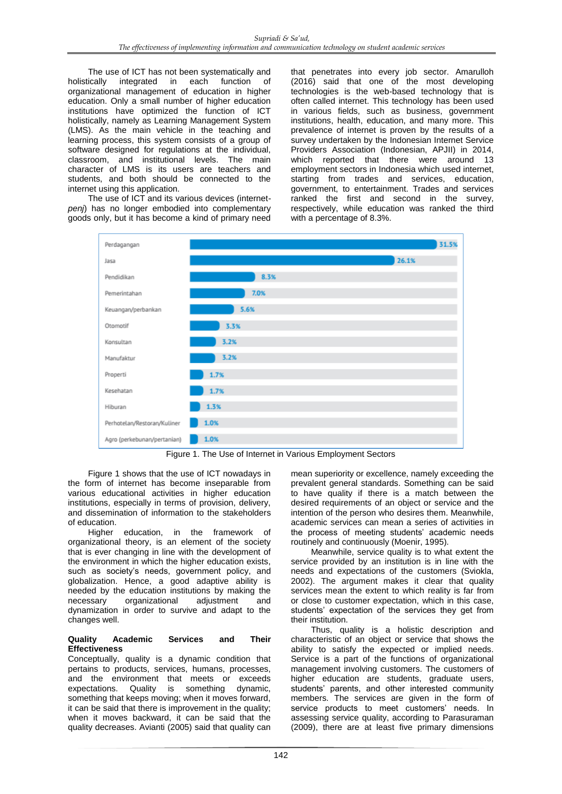The use of ICT has not been systematically and holistically integrated in each function of organizational management of education in higher education. Only a small number of higher education institutions have optimized the function of ICT holistically, namely as Learning Management System (LMS). As the main vehicle in the teaching and learning process, this system consists of a group of software designed for regulations at the individual, classroom, and institutional levels. The main character of LMS is its users are teachers and students, and both should be connected to the internet using this application.

The use of ICT and its various devices (internet*penj*) has no longer embodied into complementary goods only, but it has become a kind of primary need that penetrates into every job sector. Amarulloh (2016) said that one of the most developing technologies is the web-based technology that is often called internet. This technology has been used in various fields, such as business, government institutions, health, education, and many more. This prevalence of internet is proven by the results of a survey undertaken by the Indonesian Internet Service Providers Association (Indonesian, APJII) in 2014, which reported that there were around 13 employment sectors in Indonesia which used internet, starting from trades and services, education, government, to entertainment. Trades and services ranked the first and second in the survey, respectively, while education was ranked the third with a percentage of 8.3%.



Figure 1. The Use of Internet in Various Employment Sectors

Figure 1 shows that the use of ICT nowadays in the form of internet has become inseparable from various educational activities in higher education institutions, especially in terms of provision, delivery, and dissemination of information to the stakeholders of education.

Higher education, in the framework of organizational theory, is an element of the society that is ever changing in line with the development of the environment in which the higher education exists, such as society's needs, government policy, and globalization. Hence, a good adaptive ability is needed by the education institutions by making the necessary organizational adjustment and dynamization in order to survive and adapt to the changes well.

### **Quality Academic Services and Their Effectiveness**

Conceptually, quality is a dynamic condition that pertains to products, services, humans, processes, and the environment that meets or exceeds expectations. Quality is something dynamic, something that keeps moving; when it moves forward, it can be said that there is improvement in the quality; when it moves backward, it can be said that the quality decreases. Avianti (2005) said that quality can

mean superiority or excellence, namely exceeding the prevalent general standards. Something can be said to have quality if there is a match between the desired requirements of an object or service and the intention of the person who desires them. Meanwhile, academic services can mean a series of activities in the process of meeting students' academic needs routinely and continuously (Moenir, 1995).

Meanwhile, service quality is to what extent the service provided by an institution is in line with the needs and expectations of the customers (Sviokla, 2002). The argument makes it clear that quality services mean the extent to which reality is far from or close to customer expectation, which in this case, students' expectation of the services they get from their institution.

Thus, quality is a holistic description and characteristic of an object or service that shows the ability to satisfy the expected or implied needs. Service is a part of the functions of organizational management involving customers. The customers of higher education are students, graduate users, students' parents, and other interested community members. The services are given in the form of service products to meet customers' needs. In assessing service quality, according to Parasuraman (2009), there are at least five primary dimensions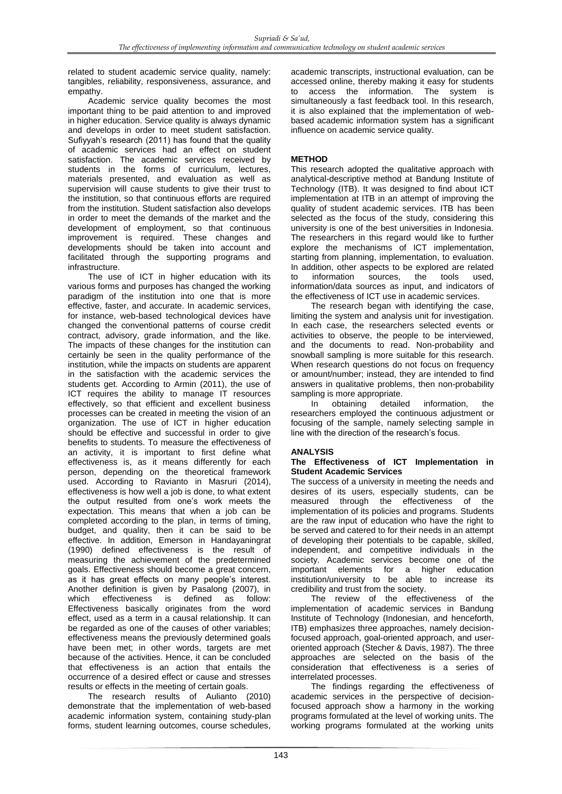related to student academic service quality, namely: tangibles, reliability, responsiveness, assurance, and empathy.

Academic service quality becomes the most important thing to be paid attention to and improved in higher education. Service quality is always dynamic and develops in order to meet student satisfaction. Sufiyyah's research (2011) has found that the quality of academic services had an effect on student satisfaction. The academic services received by students in the forms of curriculum, lectures, materials presented, and evaluation as well as supervision will cause students to give their trust to the institution, so that continuous efforts are required from the institution. Student satisfaction also develops in order to meet the demands of the market and the development of employment, so that continuous improvement is required. These changes and developments should be taken into account and facilitated through the supporting programs and infrastructure.

The use of ICT in higher education with its various forms and purposes has changed the working paradigm of the institution into one that is more effective, faster, and accurate. In academic services, for instance, web-based technological devices have changed the conventional patterns of course credit contract, advisory, grade information, and the like. The impacts of these changes for the institution can certainly be seen in the quality performance of the institution, while the impacts on students are apparent in the satisfaction with the academic services the students get. According to Armin (2011), the use of ICT requires the ability to manage IT resources effectively, so that efficient and excellent business processes can be created in meeting the vision of an organization. The use of ICT in higher education should be effective and successful in order to give benefits to students. To measure the effectiveness of an activity, it is important to first define what effectiveness is, as it means differently for each person, depending on the theoretical framework used. According to Ravianto in Masruri (2014), effectiveness is how well a job is done, to what extent the output resulted from one's work meets the expectation. This means that when a job can be completed according to the plan, in terms of timing, budget, and quality, then it can be said to be effective. In addition, Emerson in Handayaningrat (1990) defined effectiveness is the result of measuring the achievement of the predetermined goals. Effectiveness should become a great concern, as it has great effects on many people's interest. Another definition is given by Pasalong (2007), in effectiveness is defined as follow: Effectiveness basically originates from the word effect, used as a term in a causal relationship. It can be regarded as one of the causes of other variables; effectiveness means the previously determined goals have been met; in other words, targets are met because of the activities. Hence, it can be concluded that effectiveness is an action that entails the occurrence of a desired effect or cause and stresses results or effects in the meeting of certain goals.

The research results of Aulianto (2010) demonstrate that the implementation of web-based academic information system, containing study-plan forms, student learning outcomes, course schedules,

academic transcripts, instructional evaluation, can be accessed online, thereby making it easy for students to access the information. The system is simultaneously a fast feedback tool. In this research, it is also explained that the implementation of webbased academic information system has a significant influence on academic service quality.

## **METHOD**

This research adopted the qualitative approach with analytical-descriptive method at Bandung Institute of Technology (ITB). It was designed to find about ICT implementation at ITB in an attempt of improving the quality of student academic services. ITB has been selected as the focus of the study, considering this university is one of the best universities in Indonesia. The researchers in this regard would like to further explore the mechanisms of ICT implementation, starting from planning, implementation, to evaluation. In addition, other aspects to be explored are related<br>to information sources. the tools used, to information sources, the tools information/data sources as input, and indicators of the effectiveness of ICT use in academic services.

The research began with identifying the case, limiting the system and analysis unit for investigation. In each case, the researchers selected events or activities to observe, the people to be interviewed, and the documents to read. Non-probability and snowball sampling is more suitable for this research. When research questions do not focus on frequency or amount/number; instead, they are intended to find answers in qualitative problems, then non-probability sampling is more appropriate.

In obtaining detailed information, the researchers employed the continuous adjustment or focusing of the sample, namely selecting sample in line with the direction of the research's focus.

### **ANALYSIS**

#### **The Effectiveness of ICT Implementation in Student Academic Services**

The success of a university in meeting the needs and desires of its users, especially students, can be measured through the effectiveness of the implementation of its policies and programs. Students are the raw input of education who have the right to be served and catered to for their needs in an attempt of developing their potentials to be capable, skilled, independent, and competitive individuals in the society. Academic services become one of the important elements for a higher education institution/university to be able to increase its credibility and trust from the society.

The review of the effectiveness of the implementation of academic services in Bandung Institute of Technology (Indonesian, and henceforth, ITB) emphasizes three approaches, namely decisionfocused approach, goal-oriented approach, and useroriented approach (Stecher & Davis, 1987). The three approaches are selected on the basis of the consideration that effectiveness is a series of interrelated processes.

The findings regarding the effectiveness of academic services in the perspective of decisionfocused approach show a harmony in the working programs formulated at the level of working units. The working programs formulated at the working units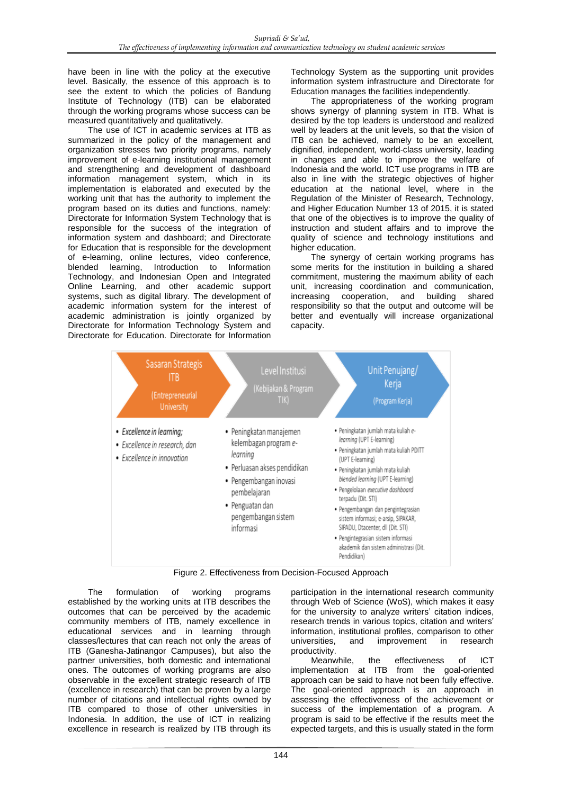have been in line with the policy at the executive level. Basically, the essence of this approach is to see the extent to which the policies of Bandung Institute of Technology (ITB) can be elaborated through the working programs whose success can be measured quantitatively and qualitatively.

The use of ICT in academic services at ITB as summarized in the policy of the management and organization stresses two priority programs, namely improvement of e-learning institutional management and strengthening and development of dashboard information management system, which in its implementation is elaborated and executed by the working unit that has the authority to implement the program based on its duties and functions, namely: Directorate for Information System Technology that is responsible for the success of the integration of information system and dashboard; and Directorate for Education that is responsible for the development of e-learning, online lectures, video conference, Introduction to Information Technology, and Indonesian Open and Integrated Online Learning, and other academic support systems, such as digital library. The development of academic information system for the interest of academic administration is jointly organized by Directorate for Information Technology System and Directorate for Education. Directorate for Information

Technology System as the supporting unit provides information system infrastructure and Directorate for Education manages the facilities independently.

The appropriateness of the working program shows synergy of planning system in ITB. What is desired by the top leaders is understood and realized well by leaders at the unit levels, so that the vision of ITB can be achieved, namely to be an excellent, dignified, independent, world-class university, leading in changes and able to improve the welfare of Indonesia and the world. ICT use programs in ITB are also in line with the strategic objectives of higher education at the national level, where in the Regulation of the Minister of Research, Technology, and Higher Education Number 13 of 2015, it is stated that one of the objectives is to improve the quality of instruction and student affairs and to improve the quality of science and technology institutions and higher education.

The synergy of certain working programs has some merits for the institution in building a shared commitment, mustering the maximum ability of each unit, increasing coordination and communication, increasing cooperation, and building shared responsibility so that the output and outcome will be better and eventually will increase organizational capacity.



Figure 2. Effectiveness from Decision-Focused Approach

The formulation of working programs established by the working units at ITB describes the outcomes that can be perceived by the academic community members of ITB, namely excellence in educational services and in learning through classes/lectures that can reach not only the areas of ITB (Ganesha-Jatinangor Campuses), but also the partner universities, both domestic and international ones. The outcomes of working programs are also observable in the excellent strategic research of ITB (excellence in research) that can be proven by a large number of citations and intellectual rights owned by ITB compared to those of other universities in Indonesia. In addition, the use of ICT in realizing excellence in research is realized by ITB through its

participation in the international research community through Web of Science (WoS), which makes it easy for the university to analyze writers' citation indices, research trends in various topics, citation and writers' information, institutional profiles, comparison to other universities, and improvement in research

productivity.<br>Meanwhile. the effectiveness of ICT implementation at ITB from the goal-oriented approach can be said to have not been fully effective. The goal-oriented approach is an approach in assessing the effectiveness of the achievement or success of the implementation of a program. A program is said to be effective if the results meet the expected targets, and this is usually stated in the form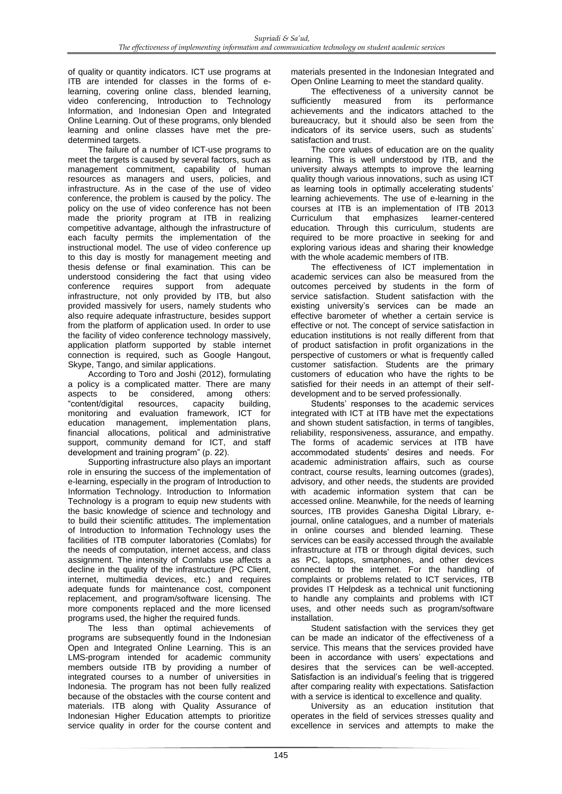of quality or quantity indicators. ICT use programs at ITB are intended for classes in the forms of elearning, covering online class, blended learning, video conferencing, Introduction to Technology Information, and Indonesian Open and Integrated Online Learning. Out of these programs, only blended learning and online classes have met the predetermined targets.

The failure of a number of ICT-use programs to meet the targets is caused by several factors, such as management commitment, capability of human resources as managers and users, policies, and infrastructure. As in the case of the use of video conference, the problem is caused by the policy. The policy on the use of video conference has not been made the priority program at ITB in realizing competitive advantage, although the infrastructure of each faculty permits the implementation of the instructional model. The use of video conference up to this day is mostly for management meeting and thesis defense or final examination. This can be understood considering the fact that using video conference requires support from adequate infrastructure, not only provided by ITB, but also provided massively for users, namely students who also require adequate infrastructure, besides support from the platform of application used. In order to use the facility of video conference technology massively, application platform supported by stable internet connection is required, such as Google Hangout, Skype, Tango, and similar applications.

According to Toro and Joshi (2012), formulating a policy is a complicated matter. There are many aspects to be considered, among others: "content/digital resources, capacity building, monitoring and evaluation framework, ICT for education management, implementation plans, financial allocations, political and administrative support, community demand for ICT, and staff development and training program" (p. 22).

Supporting infrastructure also plays an important role in ensuring the success of the implementation of e-learning, especially in the program of Introduction to Information Technology. Introduction to Information Technology is a program to equip new students with the basic knowledge of science and technology and to build their scientific attitudes. The implementation of Introduction to Information Technology uses the facilities of ITB computer laboratories (Comlabs) for the needs of computation, internet access, and class assignment. The intensity of Comlabs use affects a decline in the quality of the infrastructure (PC Client, internet, multimedia devices, etc.) and requires adequate funds for maintenance cost, component replacement, and program/software licensing. The more components replaced and the more licensed programs used, the higher the required funds.

The less than optimal achievements of programs are subsequently found in the Indonesian Open and Integrated Online Learning. This is an LMS-program intended for academic community members outside ITB by providing a number of integrated courses to a number of universities in Indonesia. The program has not been fully realized because of the obstacles with the course content and materials. ITB along with Quality Assurance of Indonesian Higher Education attempts to prioritize service quality in order for the course content and

materials presented in the Indonesian Integrated and Open Online Learning to meet the standard quality.

The effectiveness of a university cannot be sufficiently measured from its performance performance achievements and the indicators attached to the bureaucracy, but it should also be seen from the indicators of its service users, such as students' satisfaction and trust.

The core values of education are on the quality learning. This is well understood by ITB, and the university always attempts to improve the learning quality though various innovations, such as using ICT as learning tools in optimally accelerating students' learning achievements. The use of e-learning in the courses at ITB is an implementation of ITB 2013 Curriculum that emphasizes learner-centered education*.* Through this curriculum, students are required to be more proactive in seeking for and exploring various ideas and sharing their knowledge with the whole academic members of ITB.

The effectiveness of ICT implementation in academic services can also be measured from the outcomes perceived by students in the form of service satisfaction. Student satisfaction with the existing university's services can be made an effective barometer of whether a certain service is effective or not. The concept of service satisfaction in education institutions is not really different from that of product satisfaction in profit organizations in the perspective of customers or what is frequently called customer satisfaction. Students are the primary customers of education who have the rights to be satisfied for their needs in an attempt of their selfdevelopment and to be served professionally.

Students' responses to the academic services integrated with ICT at ITB have met the expectations and shown student satisfaction, in terms of tangibles, reliability, responsiveness, assurance, and empathy. The forms of academic services at ITB have accommodated students' desires and needs. For academic administration affairs, such as course contract, course results, learning outcomes (grades), advisory, and other needs, the students are provided with academic information system that can be accessed online. Meanwhile, for the needs of learning sources, ITB provides Ganesha Digital Library, ejournal, online catalogues, and a number of materials in online courses and blended learning. These services can be easily accessed through the available infrastructure at ITB or through digital devices, such as PC, laptops, smartphones, and other devices connected to the internet. For the handling of complaints or problems related to ICT services, ITB provides IT Helpdesk as a technical unit functioning to handle any complaints and problems with ICT uses, and other needs such as program/software installation.

Student satisfaction with the services they get can be made an indicator of the effectiveness of a service. This means that the services provided have been in accordance with users' expectations and desires that the services can be well-accepted. Satisfaction is an individual's feeling that is triggered after comparing reality with expectations. Satisfaction with a service is identical to excellence and quality.

University as an education institution that operates in the field of services stresses quality and excellence in services and attempts to make the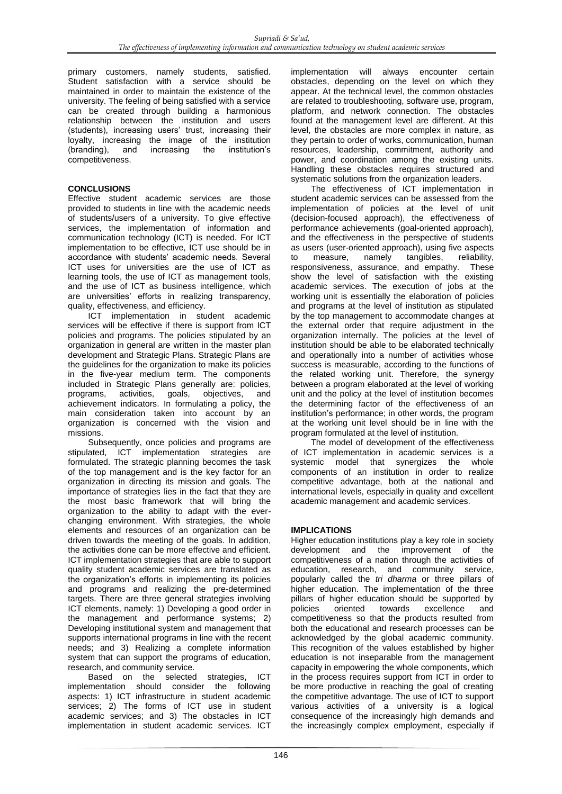primary customers, namely students, satisfied. Student satisfaction with a service should be maintained in order to maintain the existence of the university. The feeling of being satisfied with a service can be created through building a harmonious relationship between the institution and users (students), increasing users' trust, increasing their loyalty, increasing the image of the institution (branding), and increasing the institution's (branding), and increasing the competitiveness.

# **CONCLUSIONS**

Effective student academic services are those provided to students in line with the academic needs of students/users of a university. To give effective services, the implementation of information and communication technology (ICT) is needed. For ICT implementation to be effective, ICT use should be in accordance with students' academic needs. Several ICT uses for universities are the use of ICT as learning tools, the use of ICT as management tools, and the use of ICT as business intelligence, which are universities' efforts in realizing transparency, quality, effectiveness, and efficiency.

ICT implementation in student academic services will be effective if there is support from ICT policies and programs. The policies stipulated by an organization in general are written in the master plan development and Strategic Plans. Strategic Plans are the guidelines for the organization to make its policies in the five-year medium term. The components included in Strategic Plans generally are: policies, programs, activities, goals, objectives, and achievement indicators. In formulating a policy, the main consideration taken into account by an organization is concerned with the vision and missions.

Subsequently, once policies and programs are stipulated, ICT implementation strategies are formulated. The strategic planning becomes the task of the top management and is the key factor for an organization in directing its mission and goals. The importance of strategies lies in the fact that they are the most basic framework that will bring the organization to the ability to adapt with the everchanging environment. With strategies, the whole elements and resources of an organization can be driven towards the meeting of the goals. In addition, the activities done can be more effective and efficient. ICT implementation strategies that are able to support quality student academic services are translated as the organization's efforts in implementing its policies and programs and realizing the pre-determined targets. There are three general strategies involving ICT elements, namely: 1) Developing a good order in the management and performance systems; 2) Developing institutional system and management that supports international programs in line with the recent needs; and 3) Realizing a complete information system that can support the programs of education, research, and community service.

Based on the selected strategies, ICT implementation should consider the following aspects: 1) ICT infrastructure in student academic services; 2) The forms of ICT use in student academic services; and 3) The obstacles in ICT implementation in student academic services. ICT

implementation will always encounter certain obstacles, depending on the level on which they appear. At the technical level, the common obstacles are related to troubleshooting, software use, program, platform, and network connection. The obstacles found at the management level are different. At this level, the obstacles are more complex in nature, as they pertain to order of works, communication, human resources, leadership, commitment, authority and power, and coordination among the existing units. Handling these obstacles requires structured and systematic solutions from the organization leaders.

The effectiveness of ICT implementation in student academic services can be assessed from the implementation of policies at the level of unit (decision-focused approach), the effectiveness of performance achievements (goal-oriented approach), and the effectiveness in the perspective of students as users (user-oriented approach), using five aspects to measure, namely tangibles, responsiveness, assurance, and empathy. These show the level of satisfaction with the existing academic services. The execution of jobs at the working unit is essentially the elaboration of policies and programs at the level of institution as stipulated by the top management to accommodate changes at the external order that require adjustment in the organization internally. The policies at the level of institution should be able to be elaborated technically and operationally into a number of activities whose success is measurable, according to the functions of the related working unit. Therefore, the synergy between a program elaborated at the level of working unit and the policy at the level of institution becomes the determining factor of the effectiveness of an institution's performance; in other words, the program at the working unit level should be in line with the program formulated at the level of institution.

The model of development of the effectiveness of ICT implementation in academic services is a systemic model that synergizes the whole components of an institution in order to realize competitive advantage, both at the national and international levels, especially in quality and excellent academic management and academic services.

### **IMPLICATIONS**

Higher education institutions play a key role in society development and the improvement of the competitiveness of a nation through the activities of education, research, and community service, popularly called the *tri dharma* or three pillars of higher education. The implementation of the three pillars of higher education should be supported by policies oriented towards excellence and competitiveness so that the products resulted from both the educational and research processes can be acknowledged by the global academic community. This recognition of the values established by higher education is not inseparable from the management capacity in empowering the whole components, which in the process requires support from ICT in order to be more productive in reaching the goal of creating the competitive advantage. The use of ICT to support various activities of a university is a logical consequence of the increasingly high demands and the increasingly complex employment, especially if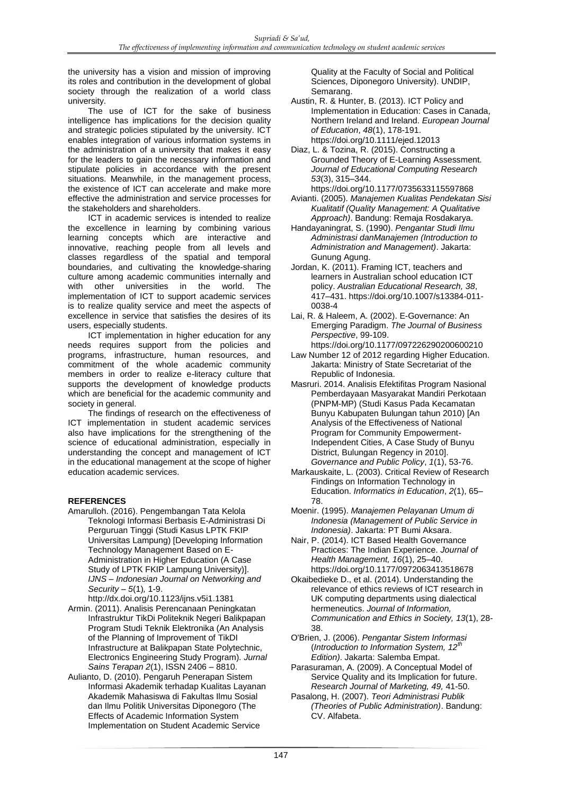the university has a vision and mission of improving its roles and contribution in the development of global society through the realization of a world class university.

The use of ICT for the sake of business intelligence has implications for the decision quality and strategic policies stipulated by the university. ICT enables integration of various information systems in the administration of a university that makes it easy for the leaders to gain the necessary information and stipulate policies in accordance with the present situations. Meanwhile, in the management process, the existence of ICT can accelerate and make more effective the administration and service processes for the stakeholders and shareholders.

ICT in academic services is intended to realize the excellence in learning by combining various learning concepts which are interactive and innovative, reaching people from all levels and classes regardless of the spatial and temporal boundaries, and cultivating the knowledge-sharing culture among academic communities internally and with other universities in the world. The implementation of ICT to support academic services is to realize quality service and meet the aspects of excellence in service that satisfies the desires of its users, especially students.

ICT implementation in higher education for any needs requires support from the policies and programs, infrastructure, human resources, and commitment of the whole academic community members in order to realize e-literacy culture that supports the development of knowledge products which are beneficial for the academic community and society in general.

The findings of research on the effectiveness of ICT implementation in student academic services also have implications for the strengthening of the science of educational administration, especially in understanding the concept and management of ICT in the educational management at the scope of higher education academic services.

### **REFERENCES**

- Amarulloh. (2016). Pengembangan Tata Kelola Teknologi Informasi Berbasis E-Administrasi Di Perguruan Tinggi (Studi Kasus LPTK FKIP Universitas Lampung) [Developing Information Technology Management Based on E-Administration in Higher Education (A Case Study of LPTK FKIP Lampung University)]. *IJNS – Indonesian Journal on Networking and Security – 5*(1)*,* 1-9.
- http://dx.doi.org/10.1123/ijns.v5i1.1381 Armin. (2011). Analisis Perencanaan Peningkatan Infrastruktur TikDi Politeknik Negeri Balikpapan Program Studi Teknik Elektronika (An Analysis of the Planning of Improvement of TikDI Infrastructure at Balikpapan State Polytechnic, Electronics Engineering Study Program). *Jurnal Sains Terapan 2*(1), ISSN 2406 – 8810.
- Aulianto, D. (2010). Pengaruh Penerapan Sistem Informasi Akademik terhadap Kualitas Layanan Akademik Mahasiswa di Fakultas Ilmu Sosial dan Ilmu Politik Universitas Diponegoro (The Effects of Academic Information System Implementation on Student Academic Service

Quality at the Faculty of Social and Political Sciences, Diponegoro University). UNDIP, Semarang.

- Austin, R. & Hunter, B. (2013). ICT Policy and Implementation in Education: Cases in Canada, Northern Ireland and Ireland. *European Journal of Education*, *48*(1), 178-191. https://doi.org/10.1111/ejed.12013
- Diaz, L. & Tozina, R. (2015). Constructing a Grounded Theory of E-Learning Assessment. *Journal of Educational Computing Research 53*(3), 315–344.
- https://doi.org/10.1177/0735633115597868 Avianti. (2005). *Manajemen Kualitas Pendekatan Sisi Kualitatif (Quality Management: A Qualitative Approach)*. Bandung: Remaja Rosdakarya.
- Handayaningrat, S. (1990). *Pengantar Studi Ilmu Administrasi danManajemen (Introduction to Administration and Management)*. Jakarta: Gunung Agung.
- Jordan, K. (2011). Framing ICT, teachers and learners in Australian school education ICT policy. *Australian Educational Research, 38*, 417–431. https://doi.org/10.1007/s13384-011- 0038-4
- Lai, R. & Haleem, A. (2002). E-Governance: An Emerging Paradigm. *The Journal of Business Perspective*, 99-109. https://doi.org/10.1177/097226290200600210
- Law Number 12 of 2012 regarding Higher Education. Jakarta: Ministry of State Secretariat of the
- Republic of Indonesia. Masruri. 2014. Analisis Efektifitas Program Nasional Pemberdayaan Masyarakat Mandiri Perkotaan (PNPM-MP) (Studi Kasus Pada Kecamatan Bunyu Kabupaten Bulungan tahun 2010) [An Analysis of the Effectiveness of National Program for Community Empowerment-Independent Cities, A Case Study of Bunyu District, Bulungan Regency in 2010].
- *Governance and Public Policy*, *1*(1), 53-76. Markauskaite, L. (2003). Critical Review of Research Findings on Information Technology in Education. *Informatics in Education*, *2*(1), 65– 78.
- Moenir. (1995). *Manajemen Pelayanan Umum di Indonesia (Management of Public Service in Indonesia)*. Jakarta: PT Bumi Aksara.
- Nair, P. (2014). ICT Based Health Governance Practices: The Indian Experience. *Journal of Health Management, 16*(1), 25–40. https://doi.org/10.1177/0972063413518678
- Okaibedieke D., et al. (2014). Understanding the relevance of ethics reviews of ICT research in UK computing departments using dialectical hermeneutics. *Journal of Information, Communication and Ethics in Society, 13*(1), 28- 38.
- O'Brien, J. (2006). *Pengantar Sistem Informasi* (*Introduction to Information System, 12<sup><i>th*</sup></sub> *Edition)*. Jakarta: Salemba Empat.
- Parasuraman, A. (2009). A Conceptual Model of Service Quality and its Implication for future. *Research Journal of Marketing, 49,* 41-50.
- Pasalong, H. (2007). *Teori Administrasi Publik (Theories of Public Administration)*. Bandung: CV. Alfabeta.